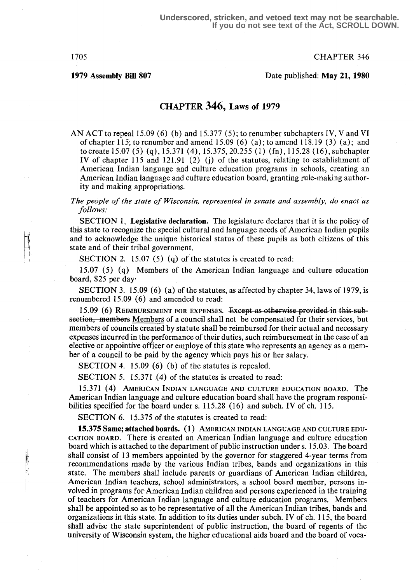1705 CHAPTER 346

1979 Assembly Bill 807 Date published : May 21, 1980

# CHAPTER 346, Laws of 1979

AN ACT to repeal 15 .09 (6) (b) and 15.377 (5) ; to renumber subchapters IV, V and VI of chapter 115; to renumber and amend  $15.09(6)$  (a); to amend  $118.19(3)$  (a); and to create 15 .07 (5) (q), 15 .371 (4), 15.375, 20.255 (1) (fn), 115.28 (16), subchapter IV of chapter 115 and 121.91  $(2)$   $(j)$  of the statutes, relating to establishment of American Indian language and culture education programs in schools, creating an American Indian language and culture education board, granting rule-making authority and making appropriations.

The people of the state of Wisconsin, represented in senate and assembly, do enact as follows:

SECTION 1. Legislative declaration. The legislature declares that it is the policy of this state to recognize the special cultural and language needs of American Indian pupils and to acknowledge the unique historical status of these pupils as both citizens of this state and of their tribal government.

SECTION 2. 15.07 (5) (q) of the statutes is created to read:

15.07 (5) (q) Members of the American Indian language and culture education board, \$25 per day

SECTION 3. 15.09 (6) (a) of the statutes, as affected by chapter 34, laws of 1979, is renumbered 15.09 (6) and amended to read:

15.09 (6) REIMBURSEMENT FOR EXPENSES. Except as otherwise provided in this subsection, members Members of a council shall not be compensated for their services, but members of councils created by statute shall be reimbursed for their actual and necessary expenses incurred in the performance of their duties, such reimbursement in the case of an elective or appointive officer or employe of this state who represents an agency as a member of a council to be paid by the agency which pays his or her salary.

SECTION 4. 15.09 (6) (b) of the statutes is repealed.

SECTION 5. 15.371 (4) of the statutes is created to read:

15.371 (4) AMERICAN INDIAN LANGUAGE AND CULTURE EDUCATION BOARD. The American Indian language and culture education board shall have the program responsibilities specified for the board under s. 115.28 (16) and subch. IV of ch. 115.

SECTION 6. 15.375 of the statutes is created to read:

15.375 Same; attached boards. (1) AMERICAN INDIAN LANGUAGE AND CULTURE EDU-CATION BOARD. There is created an American Indian language and culture education board which is attached to the department of public instruction under s. 15.03. The board shall consist of 13 members appointed by the governor for staggered 4-year terms from recommendations made by the various Indian tribes, bands and organizations in this state. The members shall include parents or guardians of American Indian children, American Indian teachers, school administrators, a school board member, persons involved in programs for American Indian children and persons experienced in the training of teachers for American Indian language and culture education programs. Members shall be appointed so as to be representative of all the American Indian tribes, bands and organizations in this state. In addition to its duties under subch. IV of ch. 115, the board shall advise the state superintendent of public instruction, the board of regents of the university of Wisconsin system, the higher educational aids board and the board of voca-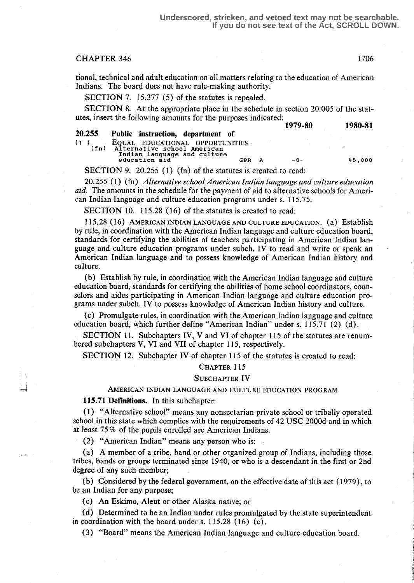## CHAPTER 346 1706

tional, technical and adult education on all matters relating to the education of American Indians. The board does not have rule-making authority.

SECTION 7. 15.377 (5) of the statutes is repealed.

SECTION 8. At the appropriate place in the schedule in section 20.005 of the statutes, insert the following amounts for the purposes indicated:

|             |                                                                |     |   | 1979-80 | 1980-81 |
|-------------|----------------------------------------------------------------|-----|---|---------|---------|
| 20.255      | Public instruction, department of                              |     |   |         |         |
| (1)<br>(fn) | EQUAL EDUCATIONAL OPPORTUNITIES<br>Alternative school American |     |   |         |         |
|             | Indian language and culture<br>education aid                   | GPR | A | $-0-$   | 45.000  |
|             |                                                                |     |   |         |         |

SECTION 9. 20.255 (1) (fn) of the statutes is created to read:

20255 (1) (fn) Alternative school American Indian language and culture education aid. The amounts in the schedule for the payment of aid to alternative schools for American Indian language and culture education programs under s. 115.75 .

SECTION 10. 115.28 (16) of the statutes is created to read:

115.28 (1f)) AMERICAN INDIAN LANGUAGE AND CULTURE EDUCATION. (a) Establish by rule, in coordination with the American Indian language and culture education board, standards for certifying the abilities of teachers participating in American Indian language and culture education programs under subch. IV to read and write or speak an American Indian language and to possess knowledge of American Indian history and culture.

(b) Establish by rule, in coordination with the American Indian language and culture education board, standards for certifying the abilities of home school coordinators, counselors and aides participating in American Indian language and culture education programs under subch. IV to possess knowledge of American Indian history and culture.

(c) Promulgate rules, in coordination with the American Indian language and culture education board, which further define "American Indian" under s.  $115.71$  (2) (d).

SECTION 11. Subchapters IV, V and VI of chapter 115 of the statutes are renumbered subchapters V, VI and VII of chapter 115, respectively.

SECTION 12. Subchapter IV of chapter 115 of the statutes is created to read:

#### CHAPTER 115

### SUBCHAPTER IV

#### AMERICAN INDIAN LANGUAGE AND CULTURE EDUCATION PROGRAM

115.71 Definitions. In this subchapter:

L.

(1) "Alternative school" means any nonsectarian private school or tribally operated school in this state which complies with the requirements of 42 USC 2000d and in which at least 75 % of the pupils enrolled are American Indians.

(2) "American Indian" means any person who is :

(a) A member of a tribe, band or other organized group of Indians, including those tribes, bands or groups terminated since 1940, or who is a descendant in the first or 2nd degree of any such member;

(b) Considered by the federal government, on the effective date of this act (1979) , to be an Indian for any purpose;

(c) An Eskimo, Aleut or other Alaska native; or

(d) Determined to be an Indian under rules promulgated by the state superintendent in coordination with the board under s. 115.28  $(16)$  (c).

(3) "Board" means the American Indian language and culture education board.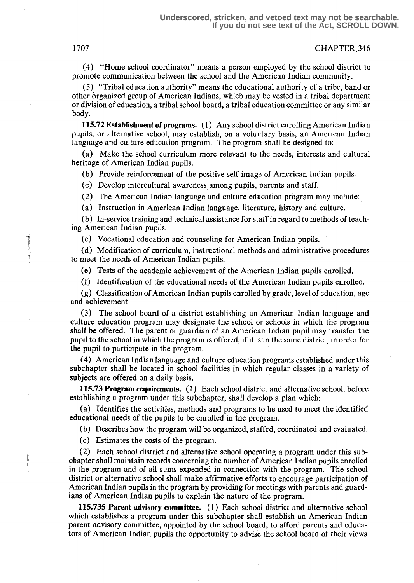#### 1707 CHAPTER 346

(4) "Home school coordinator" means a person employed by the school district to promote communication between the school and the American Indian community.

(5) "Tribal education authority" means the educational authority of a tribe, band or other organized group of American Indians, which may be vested in a tribal department or division of education, a tribal school board, a tribal education committee or any similar body.

115.72 Establishment of programs. (1) Any school district enrolling American Indian pupils, or alternative school, may establish, on a voluntary basis, an American Indian language and culture education program. The program shall be designed to:

(a) Make the school curriculum more relevant to the needs, interests and cultural heritage of American Indian pupils.

(b) Provide reinforcement of the positive self-image of American Indian pupils .

(c) Develop intercultural awareness among pupils, parents and staff.

(2) The American Indian language and culture education program may include:

(a) Instruction in American Indian language, literature, history and culture.

(b) In-service training and technical assistance for staff in regard to methods of teaching American Indian pupils.

(c) Vocational education and counseling for American Indian pupils .

(d) Modification of curriculum, instructional methods and administrative procedures to meet the needs of American Indian pupils.

(e) Tests of the academic achievement of the American Indian pupils enrolled .

(f) Identification of the educational needs of the American Indian pupils enrolled .

 $(g)$  Classification of American Indian pupils enrolled by grade, level of education, age and achievement.

(3) The school board of a district establishing an American Indian language and culture education program may designate the school or schools in which the program shall be offered. The parent or guardian of an American Indian pupil may transfer the pupil to the school in which the program is offered, if it is in the same district, in order for the pupil to participate in the program.

(4) American Indian language and culture education programs established under this subchapter shall be located in school facilities in which regular classes in a variety of subjects are offered on a daily basis.

115.73 Program requirements. (1) Each school district and alternative school, before establishing a program under this subchapter, shall develop a plan which:

(a) Identifies the activities, methods and programs to be used to meet the identified educational needs of the pupils to be enrolled in the program.

(b) Describes how the program will be organized, staffed, coordinated and evaluated.

(c) Estimates the costs of the program.

(2) Each school district and alternative school operating a program under this subchapter shall maintain records concerning the number of American Indian pupils enrolled in the program and of all sums expended in connection with the program. The school district or alternative school shall make affirmative efforts to encourage participation of American Indian pupils in the program by providing for meetings with parents and guardians of American Indian pupils to explain the nature of the program.

115.735 Parent advisory committee. (1) Each school district and alternative school which establishes a program under this subchapter shall establish an American Indian parent advisory committee, appointed by the school board, to afford parents and educators of American Indian pupils the opportunity to advise the school board of their views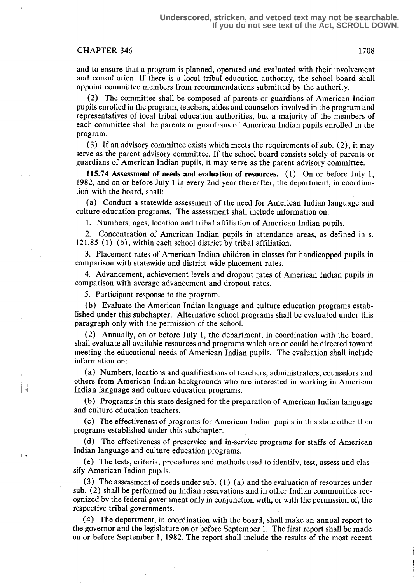# CHAPTER 346 1708

and to ensure that a program is planned, operated and evaluated with their involvement and consultation . If there is a local tribal education authority, the school board shall appoint committee members from recommendations submitted by the authority.

(2) The committee shall be composed of parents or guardians of American Indian pupils enrolled in the program, teachers, aides and counselors involved in the program and representatives of local tribal education authorities, but a majority of the members of each committee shall be parents or guardians of American Indian pupils enrolled in the program.

(3) If an advisory committee exists which meets the requirements of sub. (2), it may serve as the parent advisory committee. If the school board consists solely of parents or guardians of American Indian pupils, it may serve as the parent advisory committee.

115.74 Assessment of needs and evaluation of resources. (1) On or before July l, 1982, and on or before July 1 in every 2nd year thereafter, the department, in coordination with the board, shall:

(a) Conduct a statewide assessment of the need for American Indian language and culture education programs. The assessment shall include information on:

1. Numbers, ages, location and tribal affiliation of American Indian pupils.

2. Concentration of American Indian pupils in attendance areas, as defined in s. 121 .85 (1) (b), within each school district by tribal affiliation.

3 . Placement rates of American Indian children in classes for handicapped pupils in comparison with statewide and district-wide placement rates.

4. Advancement, achievement levels and dropout rates of American Indian pupils in comparison with average advancement and dropout rates.

5. Participant response to the program.

(b) Evaluate the American Indian language and culture education programs established under this subchapter. Alternative school programs shall be evaluated under this paragraph only with the permission of the school.

(2) Annually, on or before July 1, the department, in coordination with the board, shall evaluate all available resources and programs which are or could be directed toward meeting the educational needs of American Indian pupils . The evaluation shall include information on:

(a) Numbers, locations and qualifications of teachers, administrators, counselors and others from American Indian backgrounds who are interested in working in American  $\frac{1}{4}$  Indian language and culture education programs.

> (b) Programs in this state designed for the preparation of American Indian language and culture education teachers.

> (c) The effectiveness of programs for American Indian pupils in this state other than programs established under this subchapter.

> (d) The effectiveness of preservice and in-service programs for staffs of American Indian language and culture education programs.

> (e) The tests, criteria, procedures and methods used to identify, test, assess and classify American Indian pupils.

> (3) The assessment of needs under sub. (1) (a) and the evaluation of resources under sub. (2) shall be performed on Indian reservations and in other Indian communities recognized by the federal government only in conjunction with, or with the permission of, the respective tribal governments.

> (4) The department, in coordination with the board, shall make an annual report to the governor and the legislature on or before September 1 . The first report shall be made on or before September 1, 1982. The report shall include the results of the most recent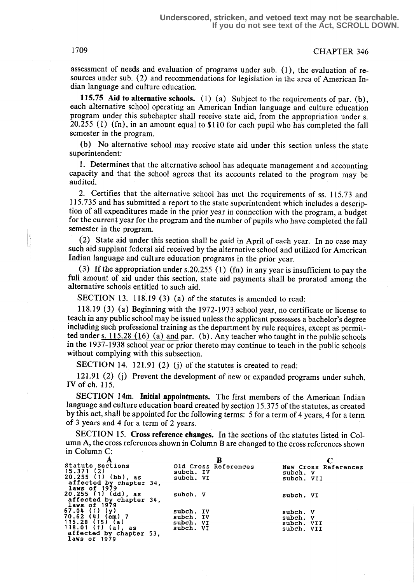1709 CHAPTER 346

assessment of needs and evaluation of programs under sub. (1), the evaluation of resources under sub. (2) and recommendations for legislation in the area of American Indian language and culture education.

115.75 Aid to alternative schools.  $(1)$  (a) Subject to the requirements of par. (b), each alternative school operating an American Indian language and culture education program under this subchapter shall receive state aid, from the appropriation under s. 20.255 (1) (fn), in an amount equal to \$110 for each pupil who has completed the fall semester in the program.

(b) No alternative school may receive state aid under this section unless the state superintendent:

1. Determines that the alternative school has adequate management and accounting capacity and that the school agrees that its accounts related to the program may be audited.

2. Certifies that the alternative school has met the requirements of ss. 115.73 and 115 .735 and has submitted a report to the state superintendent which includes a description of all expenditures made in the prior year in connection with the program, a budget for the current year for the program and the number of pupils who have completed the fall semester in the program.

( (2) State aid under this section shall be paid in April of each year. In no case may such aid supplant federal aid received by the alternative school and utilized for American Indian language and culture education programs in the prior year.

(3) If the appropriation under s.20.255 (1) (fn) in any year is insufficient to pay the full amount of aid under this section, state aid payments shall be prorated among the alternative schools entitled to such aid.

SECTION 13. 118.19 (3) (a) of the statutes is amended to read:

118.19 (3) (a) Beginning with the 1972-1973 school year, no certificate or license to teach in any public school may be issued unless the applicant possesses a bachelor's degree including such professional training as the department by rule requires, except as permitted under  $s. 115.28$  (16) (a) and par. (b). Any teacher who taught in the public schools in the 1937-1938 school year or prior thereto may continue to teach in the public schools without complying with this subsection.

SECTION 14. 121.91 (2) (j) of the statutes is created to read:

121.91 (2) (j) Prevent the development of new or expanded programs under subch. IV of ch. 115.

SECTION 14m. Initial appointments. The first members of the American Indian language and culture education board created by section 15 .375 of the statutes, as created by this act, shall be appointed for the following terms: 5 for a term of 4 years, 4 for a term of 3 years and 4 for a term of 2 years.

SECTION 15. Cross reference changes. In the sections of the statutes listed in Column A, the cross references shown in Column B are changed to the cross references shown in Column C:

| Statute Sections           | Old Cross References | New Cross References |
|----------------------------|----------------------|----------------------|
| 15.371(2)                  | subch. IV            | subch. V             |
| $20.255$ (1) (bb), as      | subch. VI            | subch. VII           |
| affected by chapter 34,    |                      |                      |
| laws of 1979               |                      |                      |
| 20.255 (1) (dd), as        | subch. V             | subch. VI            |
| affected by chapter 34,    |                      |                      |
| laws of 1979               |                      |                      |
| 67.04<br>(y)<br>(1)        | subch. IV            | subch. V             |
| 70.62(4)<br>$(\bar{e}m)$ 7 | subch. IV            | subch. V             |
| 115.28(15)<br>(a)          | subch. VI            | subch. VII           |
| 118.01 $(1)$ $(a)$ , as    | subch. VI            | subch. VII           |
| affected by chapter 53,    |                      |                      |
| laws of 1979               |                      |                      |